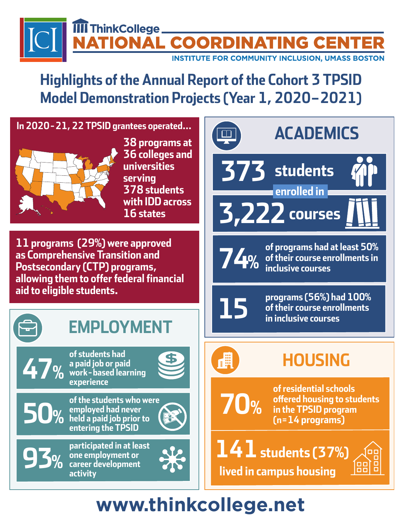### **II** ThinkCollege. NAL COORDINATING CENT **INSTITUTE FOR COMMUNITY INCLUSION, UMASS BOSTON**

### **Highlights of the Annual Report of the Cohort 3 TPSID Model Demonstration Projects (Year 1, 2020–2021)**



**career development** 

**activity**



# **[www.thinkcollege.net](http://www.thinkcollege.net)**